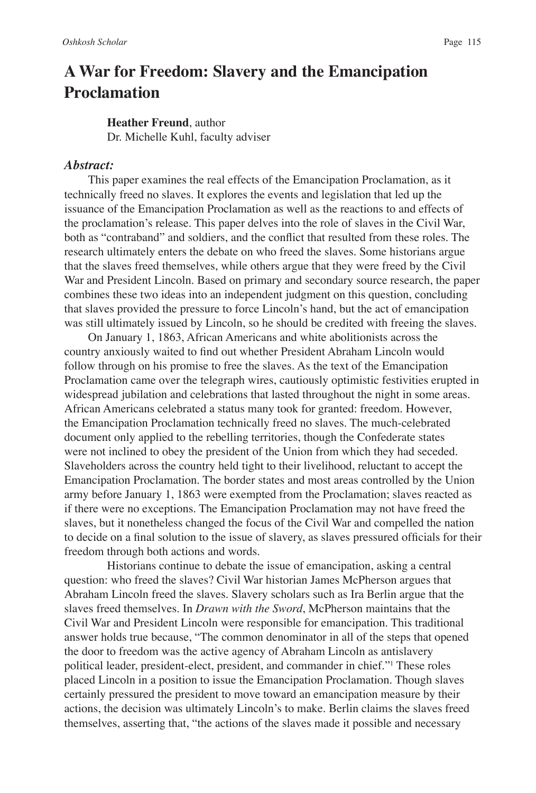# **A War for Freedom: Slavery and the Emancipation Proclamation**

## **Heather Freund**, author

Dr. Michelle Kuhl, faculty adviser

#### *Abstract:*

This paper examines the real effects of the Emancipation Proclamation, as it technically freed no slaves. It explores the events and legislation that led up the issuance of the Emancipation Proclamation as well as the reactions to and effects of the proclamation's release. This paper delves into the role of slaves in the Civil War, both as "contraband" and soldiers, and the conflict that resulted from these roles. The research ultimately enters the debate on who freed the slaves. Some historians argue that the slaves freed themselves, while others argue that they were freed by the Civil War and President Lincoln. Based on primary and secondary source research, the paper combines these two ideas into an independent judgment on this question, concluding that slaves provided the pressure to force Lincoln's hand, but the act of emancipation was still ultimately issued by Lincoln, so he should be credited with freeing the slaves.

On January 1, 1863, African Americans and white abolitionists across the country anxiously waited to find out whether President Abraham Lincoln would follow through on his promise to free the slaves. As the text of the Emancipation Proclamation came over the telegraph wires, cautiously optimistic festivities erupted in widespread jubilation and celebrations that lasted throughout the night in some areas. African Americans celebrated a status many took for granted: freedom. However, the Emancipation Proclamation technically freed no slaves. The much-celebrated document only applied to the rebelling territories, though the Confederate states were not inclined to obey the president of the Union from which they had seceded. Slaveholders across the country held tight to their livelihood, reluctant to accept the Emancipation Proclamation. The border states and most areas controlled by the Union army before January 1, 1863 were exempted from the Proclamation; slaves reacted as if there were no exceptions. The Emancipation Proclamation may not have freed the slaves, but it nonetheless changed the focus of the Civil War and compelled the nation to decide on a final solution to the issue of slavery, as slaves pressured officials for their freedom through both actions and words.

Historians continue to debate the issue of emancipation, asking a central question: who freed the slaves? Civil War historian James McPherson argues that Abraham Lincoln freed the slaves. Slavery scholars such as Ira Berlin argue that the slaves freed themselves. In *Drawn with the Sword*, McPherson maintains that the Civil War and President Lincoln were responsible for emancipation. This traditional answer holds true because, "The common denominator in all of the steps that opened the door to freedom was the active agency of Abraham Lincoln as antislavery political leader, president-elect, president, and commander in chief."1 These roles placed Lincoln in a position to issue the Emancipation Proclamation. Though slaves certainly pressured the president to move toward an emancipation measure by their actions, the decision was ultimately Lincoln's to make. Berlin claims the slaves freed themselves, asserting that, "the actions of the slaves made it possible and necessary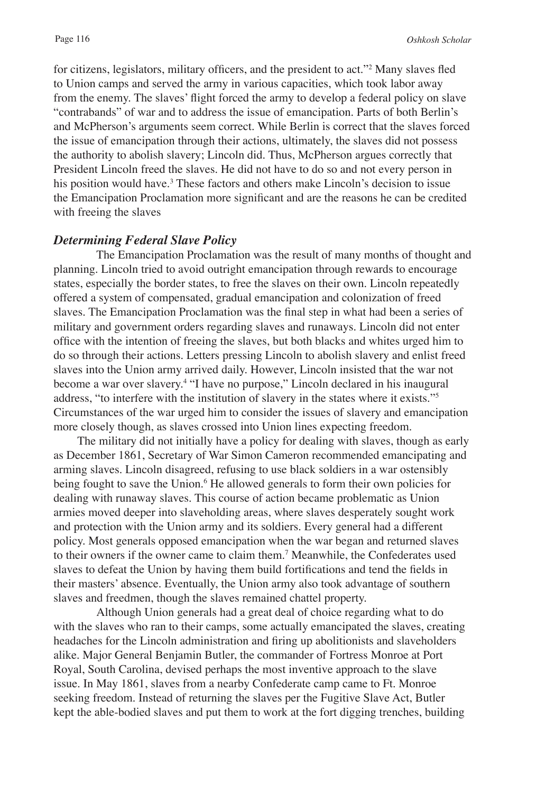for citizens, legislators, military officers, and the president to act."<sup>2</sup> Many slaves fled to Union camps and served the army in various capacities, which took labor away from the enemy. The slaves' flight forced the army to develop a federal policy on slave "contrabands" of war and to address the issue of emancipation. Parts of both Berlin's and McPherson's arguments seem correct. While Berlin is correct that the slaves forced the issue of emancipation through their actions, ultimately, the slaves did not possess the authority to abolish slavery; Lincoln did. Thus, McPherson argues correctly that President Lincoln freed the slaves. He did not have to do so and not every person in his position would have.<sup>3</sup> These factors and others make Lincoln's decision to issue the Emancipation Proclamation more significant and are the reasons he can be credited with freeing the slaves

## *Determining Federal Slave Policy*

The Emancipation Proclamation was the result of many months of thought and planning. Lincoln tried to avoid outright emancipation through rewards to encourage states, especially the border states, to free the slaves on their own. Lincoln repeatedly offered a system of compensated, gradual emancipation and colonization of freed slaves. The Emancipation Proclamation was the final step in what had been a series of military and government orders regarding slaves and runaways. Lincoln did not enter office with the intention of freeing the slaves, but both blacks and whites urged him to do so through their actions. Letters pressing Lincoln to abolish slavery and enlist freed slaves into the Union army arrived daily. However, Lincoln insisted that the war not become a war over slavery.4 "I have no purpose," Lincoln declared in his inaugural address, "to interfere with the institution of slavery in the states where it exists."5 Circumstances of the war urged him to consider the issues of slavery and emancipation more closely though, as slaves crossed into Union lines expecting freedom.

The military did not initially have a policy for dealing with slaves, though as early as December 1861, Secretary of War Simon Cameron recommended emancipating and arming slaves. Lincoln disagreed, refusing to use black soldiers in a war ostensibly being fought to save the Union.<sup>6</sup> He allowed generals to form their own policies for dealing with runaway slaves. This course of action became problematic as Union armies moved deeper into slaveholding areas, where slaves desperately sought work and protection with the Union army and its soldiers. Every general had a different policy. Most generals opposed emancipation when the war began and returned slaves to their owners if the owner came to claim them.7 Meanwhile, the Confederates used slaves to defeat the Union by having them build fortifications and tend the fields in their masters' absence. Eventually, the Union army also took advantage of southern slaves and freedmen, though the slaves remained chattel property.

Although Union generals had a great deal of choice regarding what to do with the slaves who ran to their camps, some actually emancipated the slaves, creating headaches for the Lincoln administration and firing up abolitionists and slaveholders alike. Major General Benjamin Butler, the commander of Fortress Monroe at Port Royal, South Carolina, devised perhaps the most inventive approach to the slave issue. In May 1861, slaves from a nearby Confederate camp came to Ft. Monroe seeking freedom. Instead of returning the slaves per the Fugitive Slave Act, Butler kept the able-bodied slaves and put them to work at the fort digging trenches, building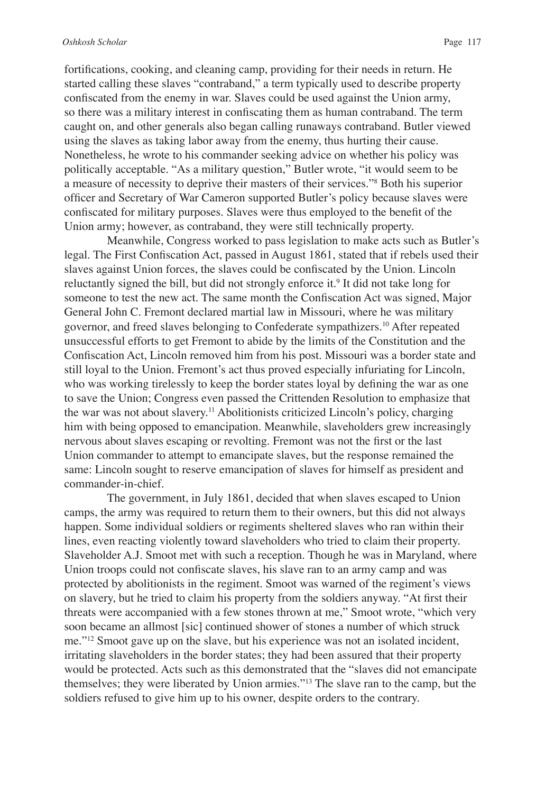fortifications, cooking, and cleaning camp, providing for their needs in return. He started calling these slaves "contraband," a term typically used to describe property confiscated from the enemy in war. Slaves could be used against the Union army, so there was a military interest in confiscating them as human contraband. The term caught on, and other generals also began calling runaways contraband. Butler viewed using the slaves as taking labor away from the enemy, thus hurting their cause. Nonetheless, he wrote to his commander seeking advice on whether his policy was politically acceptable. "As a military question," Butler wrote, "it would seem to be a measure of necessity to deprive their masters of their services."8 Both his superior officer and Secretary of War Cameron supported Butler's policy because slaves were confiscated for military purposes. Slaves were thus employed to the benefit of the Union army; however, as contraband, they were still technically property.

Meanwhile, Congress worked to pass legislation to make acts such as Butler's legal. The First Confiscation Act, passed in August 1861, stated that if rebels used their slaves against Union forces, the slaves could be confiscated by the Union. Lincoln reluctantly signed the bill, but did not strongly enforce it.<sup>9</sup> It did not take long for someone to test the new act. The same month the Confiscation Act was signed, Major General John C. Fremont declared martial law in Missouri, where he was military governor, and freed slaves belonging to Confederate sympathizers.10 After repeated unsuccessful efforts to get Fremont to abide by the limits of the Constitution and the Confiscation Act, Lincoln removed him from his post. Missouri was a border state and still loyal to the Union. Fremont's act thus proved especially infuriating for Lincoln, who was working tirelessly to keep the border states loyal by defining the war as one to save the Union; Congress even passed the Crittenden Resolution to emphasize that the war was not about slavery.<sup>11</sup> Abolitionists criticized Lincoln's policy, charging him with being opposed to emancipation. Meanwhile, slaveholders grew increasingly nervous about slaves escaping or revolting. Fremont was not the first or the last Union commander to attempt to emancipate slaves, but the response remained the same: Lincoln sought to reserve emancipation of slaves for himself as president and commander-in-chief.

The government, in July 1861, decided that when slaves escaped to Union camps, the army was required to return them to their owners, but this did not always happen. Some individual soldiers or regiments sheltered slaves who ran within their lines, even reacting violently toward slaveholders who tried to claim their property. Slaveholder A.J. Smoot met with such a reception. Though he was in Maryland, where Union troops could not confiscate slaves, his slave ran to an army camp and was protected by abolitionists in the regiment. Smoot was warned of the regiment's views on slavery, but he tried to claim his property from the soldiers anyway. "At first their threats were accompanied with a few stones thrown at me," Smoot wrote, "which very soon became an allmost [sic] continued shower of stones a number of which struck me."12 Smoot gave up on the slave, but his experience was not an isolated incident, irritating slaveholders in the border states; they had been assured that their property would be protected. Acts such as this demonstrated that the "slaves did not emancipate themselves; they were liberated by Union armies."13 The slave ran to the camp, but the soldiers refused to give him up to his owner, despite orders to the contrary.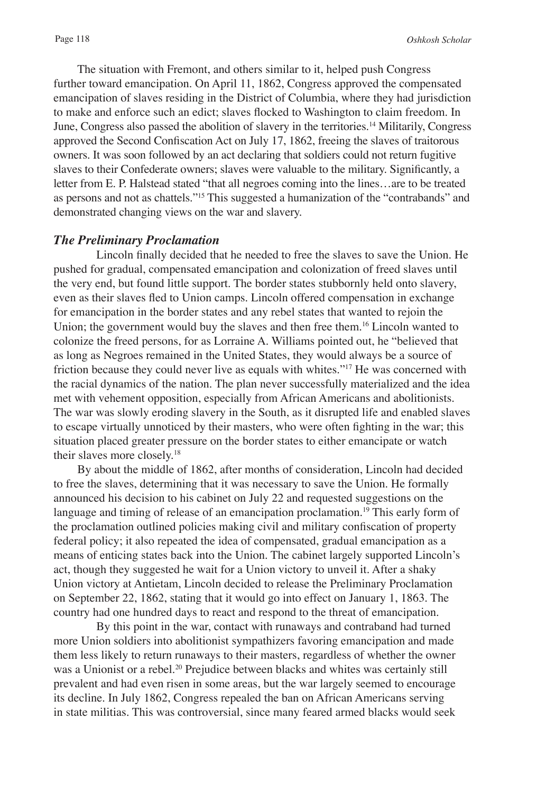The situation with Fremont, and others similar to it, helped push Congress further toward emancipation. On April 11, 1862, Congress approved the compensated emancipation of slaves residing in the District of Columbia, where they had jurisdiction to make and enforce such an edict; slaves flocked to Washington to claim freedom. In June, Congress also passed the abolition of slavery in the territories.14 Militarily, Congress approved the Second Confiscation Act on July 17, 1862, freeing the slaves of traitorous owners. It was soon followed by an act declaring that soldiers could not return fugitive slaves to their Confederate owners; slaves were valuable to the military. Significantly, a letter from E. P. Halstead stated "that all negroes coming into the lines…are to be treated as persons and not as chattels."15 This suggested a humanization of the "contrabands" and demonstrated changing views on the war and slavery.

# *The Preliminary Proclamation*

Lincoln finally decided that he needed to free the slaves to save the Union. He pushed for gradual, compensated emancipation and colonization of freed slaves until the very end, but found little support. The border states stubbornly held onto slavery, even as their slaves fled to Union camps. Lincoln offered compensation in exchange for emancipation in the border states and any rebel states that wanted to rejoin the Union; the government would buy the slaves and then free them.<sup>16</sup> Lincoln wanted to colonize the freed persons, for as Lorraine A. Williams pointed out, he "believed that as long as Negroes remained in the United States, they would always be a source of friction because they could never live as equals with whites."17 He was concerned with the racial dynamics of the nation. The plan never successfully materialized and the idea met with vehement opposition, especially from African Americans and abolitionists. The war was slowly eroding slavery in the South, as it disrupted life and enabled slaves to escape virtually unnoticed by their masters, who were often fighting in the war; this situation placed greater pressure on the border states to either emancipate or watch their slaves more closely.18

By about the middle of 1862, after months of consideration, Lincoln had decided to free the slaves, determining that it was necessary to save the Union. He formally announced his decision to his cabinet on July 22 and requested suggestions on the language and timing of release of an emancipation proclamation.<sup>19</sup> This early form of the proclamation outlined policies making civil and military confiscation of property federal policy; it also repeated the idea of compensated, gradual emancipation as a means of enticing states back into the Union. The cabinet largely supported Lincoln's act, though they suggested he wait for a Union victory to unveil it. After a shaky Union victory at Antietam, Lincoln decided to release the Preliminary Proclamation on September 22, 1862, stating that it would go into effect on January 1, 1863. The country had one hundred days to react and respond to the threat of emancipation.

By this point in the war, contact with runaways and contraband had turned more Union soldiers into abolitionist sympathizers favoring emancipation and made them less likely to return runaways to their masters, regardless of whether the owner was a Unionist or a rebel.<sup>20</sup> Prejudice between blacks and whites was certainly still prevalent and had even risen in some areas, but the war largely seemed to encourage its decline. In July 1862, Congress repealed the ban on African Americans serving in state militias. This was controversial, since many feared armed blacks would seek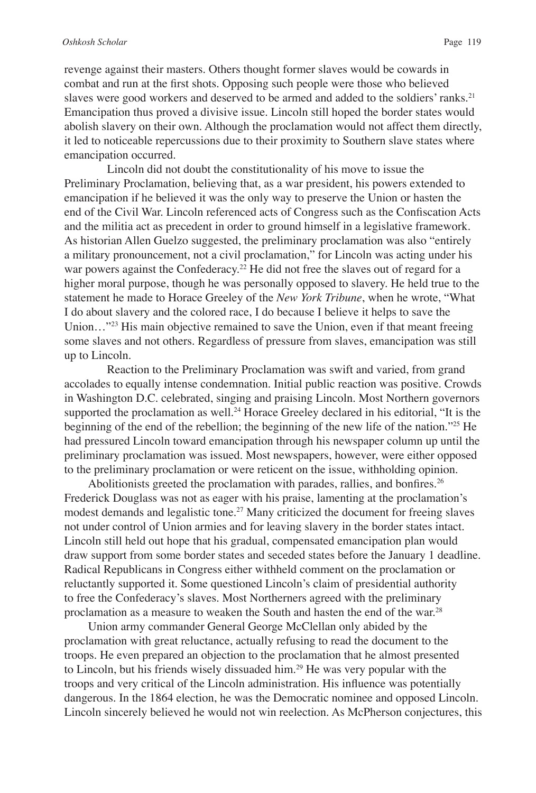revenge against their masters. Others thought former slaves would be cowards in combat and run at the first shots. Opposing such people were those who believed slaves were good workers and deserved to be armed and added to the soldiers' ranks.<sup>21</sup> Emancipation thus proved a divisive issue. Lincoln still hoped the border states would abolish slavery on their own. Although the proclamation would not affect them directly, it led to noticeable repercussions due to their proximity to Southern slave states where emancipation occurred.

Lincoln did not doubt the constitutionality of his move to issue the Preliminary Proclamation, believing that, as a war president, his powers extended to emancipation if he believed it was the only way to preserve the Union or hasten the end of the Civil War. Lincoln referenced acts of Congress such as the Confiscation Acts and the militia act as precedent in order to ground himself in a legislative framework. As historian Allen Guelzo suggested, the preliminary proclamation was also "entirely a military pronouncement, not a civil proclamation," for Lincoln was acting under his war powers against the Confederacy.<sup>22</sup> He did not free the slaves out of regard for a higher moral purpose, though he was personally opposed to slavery. He held true to the statement he made to Horace Greeley of the *New York Tribune*, when he wrote, "What I do about slavery and the colored race, I do because I believe it helps to save the Union..."<sup>23</sup> His main objective remained to save the Union, even if that meant freeing some slaves and not others. Regardless of pressure from slaves, emancipation was still up to Lincoln.

Reaction to the Preliminary Proclamation was swift and varied, from grand accolades to equally intense condemnation. Initial public reaction was positive. Crowds in Washington D.C. celebrated, singing and praising Lincoln. Most Northern governors supported the proclamation as well.<sup>24</sup> Horace Greeley declared in his editorial, "It is the beginning of the end of the rebellion; the beginning of the new life of the nation."25 He had pressured Lincoln toward emancipation through his newspaper column up until the preliminary proclamation was issued. Most newspapers, however, were either opposed to the preliminary proclamation or were reticent on the issue, withholding opinion.

Abolitionists greeted the proclamation with parades, rallies, and bonfires.<sup>26</sup> Frederick Douglass was not as eager with his praise, lamenting at the proclamation's modest demands and legalistic tone.<sup>27</sup> Many criticized the document for freeing slaves not under control of Union armies and for leaving slavery in the border states intact. Lincoln still held out hope that his gradual, compensated emancipation plan would draw support from some border states and seceded states before the January 1 deadline. Radical Republicans in Congress either withheld comment on the proclamation or reluctantly supported it. Some questioned Lincoln's claim of presidential authority to free the Confederacy's slaves. Most Northerners agreed with the preliminary proclamation as a measure to weaken the South and hasten the end of the war.28

Union army commander General George McClellan only abided by the proclamation with great reluctance, actually refusing to read the document to the troops. He even prepared an objection to the proclamation that he almost presented to Lincoln, but his friends wisely dissuaded him.<sup>29</sup> He was very popular with the troops and very critical of the Lincoln administration. His influence was potentially dangerous. In the 1864 election, he was the Democratic nominee and opposed Lincoln. Lincoln sincerely believed he would not win reelection. As McPherson conjectures, this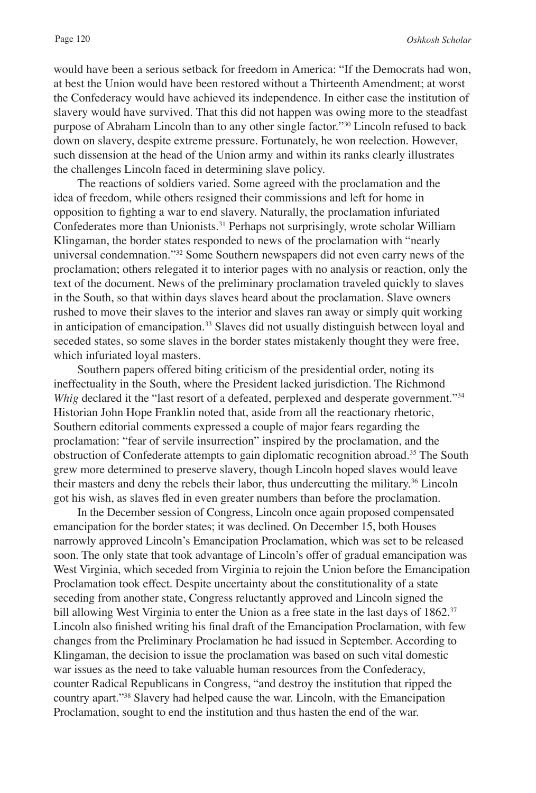would have been a serious setback for freedom in America: "If the Democrats had won, at best the Union would have been restored without a Thirteenth Amendment; at worst the Confederacy would have achieved its independence. In either case the institution of slavery would have survived. That this did not happen was owing more to the steadfast purpose of Abraham Lincoln than to any other single factor."30 Lincoln refused to back down on slavery, despite extreme pressure. Fortunately, he won reelection. However, such dissension at the head of the Union army and within its ranks clearly illustrates the challenges Lincoln faced in determining slave policy.

The reactions of soldiers varied. Some agreed with the proclamation and the idea of freedom, while others resigned their commissions and left for home in opposition to fighting a war to end slavery. Naturally, the proclamation infuriated Confederates more than Unionists.<sup>31</sup> Perhaps not surprisingly, wrote scholar William Klingaman, the border states responded to news of the proclamation with "nearly universal condemnation."32 Some Southern newspapers did not even carry news of the proclamation; others relegated it to interior pages with no analysis or reaction, only the text of the document. News of the preliminary proclamation traveled quickly to slaves in the South, so that within days slaves heard about the proclamation. Slave owners rushed to move their slaves to the interior and slaves ran away or simply quit working in anticipation of emancipation.<sup>33</sup> Slaves did not usually distinguish between loyal and seceded states, so some slaves in the border states mistakenly thought they were free, which infuriated loyal masters.

Southern papers offered biting criticism of the presidential order, noting its ineffectuality in the South, where the President lacked jurisdiction. The Richmond *Whig* declared it the "last resort of a defeated, perplexed and desperate government."<sup>34</sup> Historian John Hope Franklin noted that, aside from all the reactionary rhetoric, Southern editorial comments expressed a couple of major fears regarding the proclamation: "fear of servile insurrection" inspired by the proclamation, and the obstruction of Confederate attempts to gain diplomatic recognition abroad.<sup>35</sup> The South grew more determined to preserve slavery, though Lincoln hoped slaves would leave their masters and deny the rebels their labor, thus undercutting the military.<sup>36</sup> Lincoln got his wish, as slaves fled in even greater numbers than before the proclamation.

In the December session of Congress, Lincoln once again proposed compensated emancipation for the border states; it was declined. On December 15, both Houses narrowly approved Lincoln's Emancipation Proclamation, which was set to be released soon. The only state that took advantage of Lincoln's offer of gradual emancipation was West Virginia, which seceded from Virginia to rejoin the Union before the Emancipation Proclamation took effect. Despite uncertainty about the constitutionality of a state seceding from another state, Congress reluctantly approved and Lincoln signed the bill allowing West Virginia to enter the Union as a free state in the last days of 1862.<sup>37</sup> Lincoln also finished writing his final draft of the Emancipation Proclamation, with few changes from the Preliminary Proclamation he had issued in September. According to Klingaman, the decision to issue the proclamation was based on such vital domestic war issues as the need to take valuable human resources from the Confederacy, counter Radical Republicans in Congress, "and destroy the institution that ripped the country apart."38 Slavery had helped cause the war. Lincoln, with the Emancipation Proclamation, sought to end the institution and thus hasten the end of the war.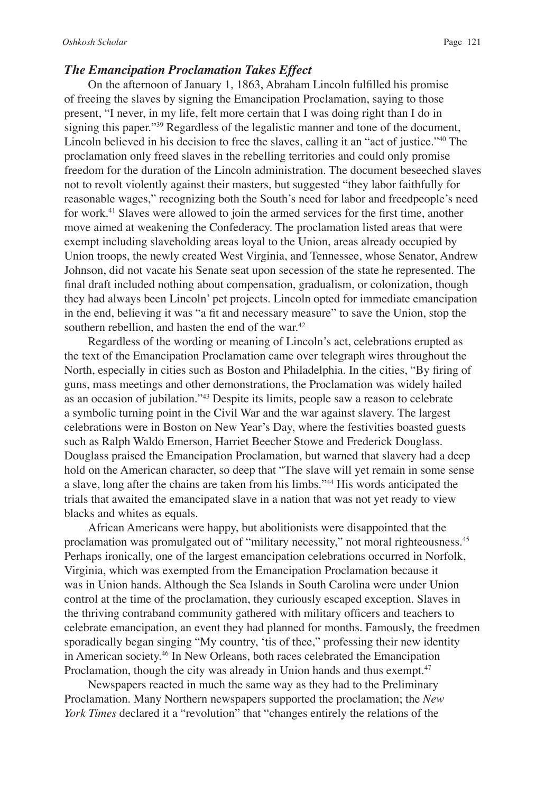## *The Emancipation Proclamation Takes Effect*

On the afternoon of January 1, 1863, Abraham Lincoln fulfilled his promise of freeing the slaves by signing the Emancipation Proclamation, saying to those present, "I never, in my life, felt more certain that I was doing right than I do in signing this paper."<sup>39</sup> Regardless of the legalistic manner and tone of the document, Lincoln believed in his decision to free the slaves, calling it an "act of justice."40 The proclamation only freed slaves in the rebelling territories and could only promise freedom for the duration of the Lincoln administration. The document beseeched slaves not to revolt violently against their masters, but suggested "they labor faithfully for reasonable wages," recognizing both the South's need for labor and freedpeople's need for work.<sup>41</sup> Slaves were allowed to join the armed services for the first time, another move aimed at weakening the Confederacy. The proclamation listed areas that were exempt including slaveholding areas loyal to the Union, areas already occupied by Union troops, the newly created West Virginia, and Tennessee, whose Senator, Andrew Johnson, did not vacate his Senate seat upon secession of the state he represented. The final draft included nothing about compensation, gradualism, or colonization, though they had always been Lincoln' pet projects. Lincoln opted for immediate emancipation in the end, believing it was "a fit and necessary measure" to save the Union, stop the southern rebellion, and hasten the end of the war.<sup>42</sup>

Regardless of the wording or meaning of Lincoln's act, celebrations erupted as the text of the Emancipation Proclamation came over telegraph wires throughout the North, especially in cities such as Boston and Philadelphia. In the cities, "By firing of guns, mass meetings and other demonstrations, the Proclamation was widely hailed as an occasion of jubilation."43 Despite its limits, people saw a reason to celebrate a symbolic turning point in the Civil War and the war against slavery. The largest celebrations were in Boston on New Year's Day, where the festivities boasted guests such as Ralph Waldo Emerson, Harriet Beecher Stowe and Frederick Douglass. Douglass praised the Emancipation Proclamation, but warned that slavery had a deep hold on the American character, so deep that "The slave will yet remain in some sense a slave, long after the chains are taken from his limbs."44 His words anticipated the trials that awaited the emancipated slave in a nation that was not yet ready to view blacks and whites as equals.

African Americans were happy, but abolitionists were disappointed that the proclamation was promulgated out of "military necessity," not moral righteousness.45 Perhaps ironically, one of the largest emancipation celebrations occurred in Norfolk, Virginia, which was exempted from the Emancipation Proclamation because it was in Union hands. Although the Sea Islands in South Carolina were under Union control at the time of the proclamation, they curiously escaped exception. Slaves in the thriving contraband community gathered with military officers and teachers to celebrate emancipation, an event they had planned for months. Famously, the freedmen sporadically began singing "My country, 'tis of thee," professing their new identity in American society.46 In New Orleans, both races celebrated the Emancipation Proclamation, though the city was already in Union hands and thus exempt.<sup>47</sup>

Newspapers reacted in much the same way as they had to the Preliminary Proclamation. Many Northern newspapers supported the proclamation; the *New York Times* declared it a "revolution" that "changes entirely the relations of the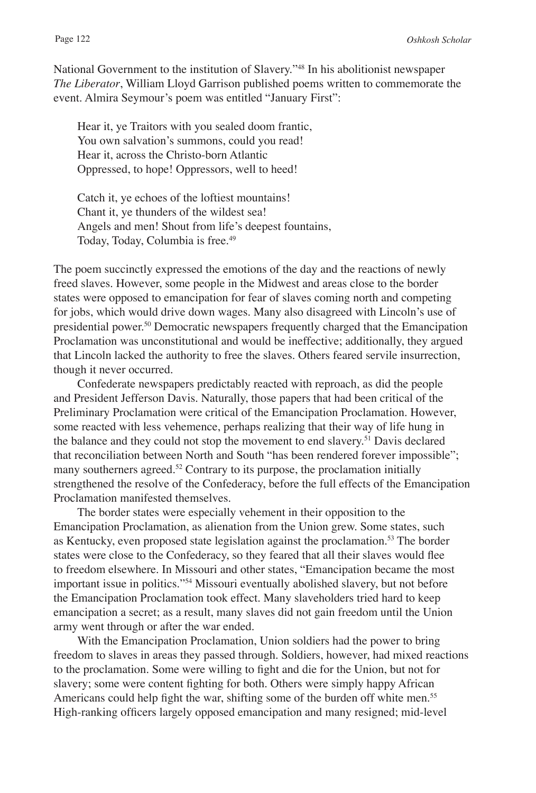National Government to the institution of Slavery."48 In his abolitionist newspaper *The Liberator*, William Lloyd Garrison published poems written to commemorate the event. Almira Seymour's poem was entitled "January First":

Hear it, ye Traitors with you sealed doom frantic, You own salvation's summons, could you read! Hear it, across the Christo-born Atlantic Oppressed, to hope! Oppressors, well to heed!

Catch it, ye echoes of the loftiest mountains! Chant it, ye thunders of the wildest sea! Angels and men! Shout from life's deepest fountains, Today, Today, Columbia is free.<sup>49</sup>

The poem succinctly expressed the emotions of the day and the reactions of newly freed slaves. However, some people in the Midwest and areas close to the border states were opposed to emancipation for fear of slaves coming north and competing for jobs, which would drive down wages. Many also disagreed with Lincoln's use of presidential power.50 Democratic newspapers frequently charged that the Emancipation Proclamation was unconstitutional and would be ineffective; additionally, they argued that Lincoln lacked the authority to free the slaves. Others feared servile insurrection, though it never occurred.

Confederate newspapers predictably reacted with reproach, as did the people and President Jefferson Davis. Naturally, those papers that had been critical of the Preliminary Proclamation were critical of the Emancipation Proclamation. However, some reacted with less vehemence, perhaps realizing that their way of life hung in the balance and they could not stop the movement to end slavery.<sup>51</sup> Davis declared that reconciliation between North and South "has been rendered forever impossible"; many southerners agreed.<sup>52</sup> Contrary to its purpose, the proclamation initially strengthened the resolve of the Confederacy, before the full effects of the Emancipation Proclamation manifested themselves.

The border states were especially vehement in their opposition to the Emancipation Proclamation, as alienation from the Union grew. Some states, such as Kentucky, even proposed state legislation against the proclamation.53 The border states were close to the Confederacy, so they feared that all their slaves would flee to freedom elsewhere. In Missouri and other states, "Emancipation became the most important issue in politics."54 Missouri eventually abolished slavery, but not before the Emancipation Proclamation took effect. Many slaveholders tried hard to keep emancipation a secret; as a result, many slaves did not gain freedom until the Union army went through or after the war ended.

With the Emancipation Proclamation, Union soldiers had the power to bring freedom to slaves in areas they passed through. Soldiers, however, had mixed reactions to the proclamation. Some were willing to fight and die for the Union, but not for slavery; some were content fighting for both. Others were simply happy African Americans could help fight the war, shifting some of the burden off white men.<sup>55</sup> High-ranking officers largely opposed emancipation and many resigned; mid-level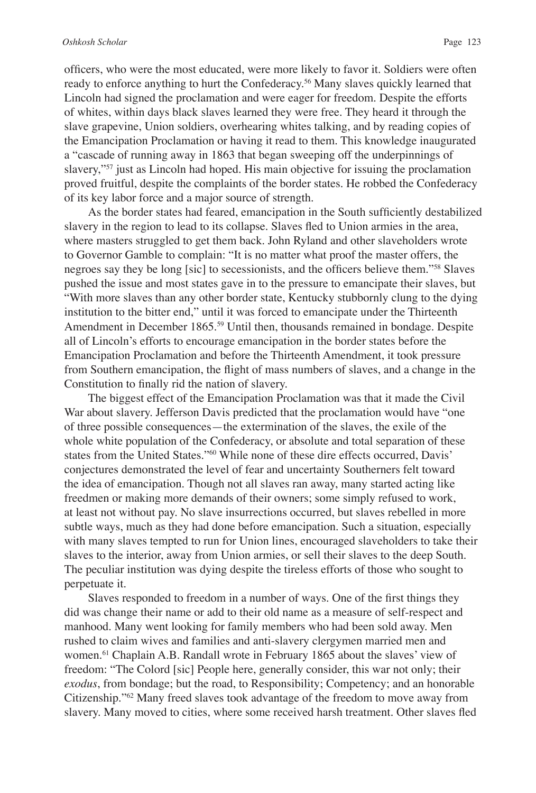officers, who were the most educated, were more likely to favor it. Soldiers were often ready to enforce anything to hurt the Confederacy.<sup>56</sup> Many slaves quickly learned that Lincoln had signed the proclamation and were eager for freedom. Despite the efforts of whites, within days black slaves learned they were free. They heard it through the slave grapevine, Union soldiers, overhearing whites talking, and by reading copies of the Emancipation Proclamation or having it read to them. This knowledge inaugurated a "cascade of running away in 1863 that began sweeping off the underpinnings of slavery,"<sup>57</sup> just as Lincoln had hoped. His main objective for issuing the proclamation proved fruitful, despite the complaints of the border states. He robbed the Confederacy of its key labor force and a major source of strength.

As the border states had feared, emancipation in the South sufficiently destabilized slavery in the region to lead to its collapse. Slaves fled to Union armies in the area, where masters struggled to get them back. John Ryland and other slaveholders wrote to Governor Gamble to complain: "It is no matter what proof the master offers, the negroes say they be long [sic] to secessionists, and the officers believe them."58 Slaves pushed the issue and most states gave in to the pressure to emancipate their slaves, but "With more slaves than any other border state, Kentucky stubbornly clung to the dying institution to the bitter end," until it was forced to emancipate under the Thirteenth Amendment in December 1865.<sup>59</sup> Until then, thousands remained in bondage. Despite all of Lincoln's efforts to encourage emancipation in the border states before the Emancipation Proclamation and before the Thirteenth Amendment, it took pressure from Southern emancipation, the flight of mass numbers of slaves, and a change in the Constitution to finally rid the nation of slavery.

The biggest effect of the Emancipation Proclamation was that it made the Civil War about slavery. Jefferson Davis predicted that the proclamation would have "one of three possible consequences—the extermination of the slaves, the exile of the whole white population of the Confederacy, or absolute and total separation of these states from the United States."60 While none of these dire effects occurred, Davis' conjectures demonstrated the level of fear and uncertainty Southerners felt toward the idea of emancipation. Though not all slaves ran away, many started acting like freedmen or making more demands of their owners; some simply refused to work, at least not without pay. No slave insurrections occurred, but slaves rebelled in more subtle ways, much as they had done before emancipation. Such a situation, especially with many slaves tempted to run for Union lines, encouraged slaveholders to take their slaves to the interior, away from Union armies, or sell their slaves to the deep South. The peculiar institution was dying despite the tireless efforts of those who sought to perpetuate it.

Slaves responded to freedom in a number of ways. One of the first things they did was change their name or add to their old name as a measure of self-respect and manhood. Many went looking for family members who had been sold away. Men rushed to claim wives and families and anti-slavery clergymen married men and women.61 Chaplain A.B. Randall wrote in February 1865 about the slaves' view of freedom: "The Colord [sic] People here, generally consider, this war not only; their *exodus*, from bondage; but the road, to Responsibility; Competency; and an honorable Citizenship."62 Many freed slaves took advantage of the freedom to move away from slavery. Many moved to cities, where some received harsh treatment. Other slaves fled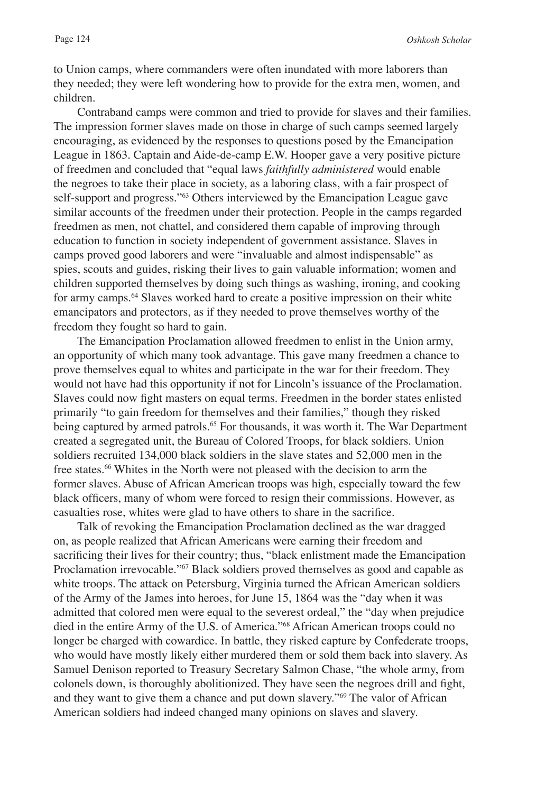to Union camps, where commanders were often inundated with more laborers than they needed; they were left wondering how to provide for the extra men, women, and children.

Contraband camps were common and tried to provide for slaves and their families. The impression former slaves made on those in charge of such camps seemed largely encouraging, as evidenced by the responses to questions posed by the Emancipation League in 1863. Captain and Aide-de-camp E.W. Hooper gave a very positive picture of freedmen and concluded that "equal laws *faithfully administered* would enable the negroes to take their place in society, as a laboring class, with a fair prospect of self-support and progress."<sup>63</sup> Others interviewed by the Emancipation League gave similar accounts of the freedmen under their protection. People in the camps regarded freedmen as men, not chattel, and considered them capable of improving through education to function in society independent of government assistance. Slaves in camps proved good laborers and were "invaluable and almost indispensable" as spies, scouts and guides, risking their lives to gain valuable information; women and children supported themselves by doing such things as washing, ironing, and cooking for army camps.<sup>64</sup> Slaves worked hard to create a positive impression on their white emancipators and protectors, as if they needed to prove themselves worthy of the freedom they fought so hard to gain.

The Emancipation Proclamation allowed freedmen to enlist in the Union army, an opportunity of which many took advantage. This gave many freedmen a chance to prove themselves equal to whites and participate in the war for their freedom. They would not have had this opportunity if not for Lincoln's issuance of the Proclamation. Slaves could now fight masters on equal terms. Freedmen in the border states enlisted primarily "to gain freedom for themselves and their families," though they risked being captured by armed patrols.<sup>65</sup> For thousands, it was worth it. The War Department created a segregated unit, the Bureau of Colored Troops, for black soldiers. Union soldiers recruited 134,000 black soldiers in the slave states and 52,000 men in the free states.<sup>66</sup> Whites in the North were not pleased with the decision to arm the former slaves. Abuse of African American troops was high, especially toward the few black officers, many of whom were forced to resign their commissions. However, as casualties rose, whites were glad to have others to share in the sacrifice.

Talk of revoking the Emancipation Proclamation declined as the war dragged on, as people realized that African Americans were earning their freedom and sacrificing their lives for their country; thus, "black enlistment made the Emancipation Proclamation irrevocable."<sup>67</sup> Black soldiers proved themselves as good and capable as white troops. The attack on Petersburg, Virginia turned the African American soldiers of the Army of the James into heroes, for June 15, 1864 was the "day when it was admitted that colored men were equal to the severest ordeal," the "day when prejudice died in the entire Army of the U.S. of America."68 African American troops could no longer be charged with cowardice. In battle, they risked capture by Confederate troops, who would have mostly likely either murdered them or sold them back into slavery. As Samuel Denison reported to Treasury Secretary Salmon Chase, "the whole army, from colonels down, is thoroughly abolitionized. They have seen the negroes drill and fight, and they want to give them a chance and put down slavery."<sup>69</sup> The valor of African American soldiers had indeed changed many opinions on slaves and slavery.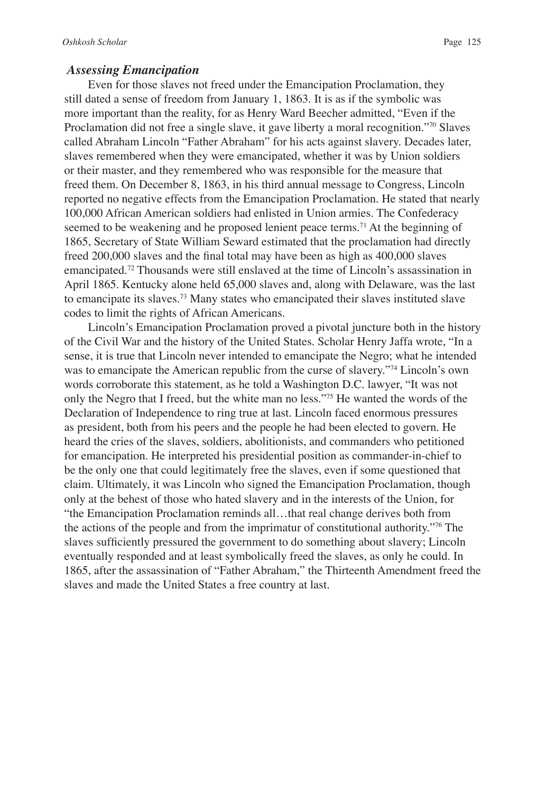#### *Assessing Emancipation*

Even for those slaves not freed under the Emancipation Proclamation, they still dated a sense of freedom from January 1, 1863. It is as if the symbolic was more important than the reality, for as Henry Ward Beecher admitted, "Even if the Proclamation did not free a single slave, it gave liberty a moral recognition."<sup>70</sup> Slaves called Abraham Lincoln "Father Abraham" for his acts against slavery. Decades later, slaves remembered when they were emancipated, whether it was by Union soldiers or their master, and they remembered who was responsible for the measure that freed them. On December 8, 1863, in his third annual message to Congress, Lincoln reported no negative effects from the Emancipation Proclamation. He stated that nearly 100,000 African American soldiers had enlisted in Union armies. The Confederacy seemed to be weakening and he proposed lenient peace terms.<sup>71</sup> At the beginning of 1865, Secretary of State William Seward estimated that the proclamation had directly freed 200,000 slaves and the final total may have been as high as 400,000 slaves emancipated.72 Thousands were still enslaved at the time of Lincoln's assassination in April 1865. Kentucky alone held 65,000 slaves and, along with Delaware, was the last to emancipate its slaves.73 Many states who emancipated their slaves instituted slave codes to limit the rights of African Americans.

Lincoln's Emancipation Proclamation proved a pivotal juncture both in the history of the Civil War and the history of the United States. Scholar Henry Jaffa wrote, "In a sense, it is true that Lincoln never intended to emancipate the Negro; what he intended was to emancipate the American republic from the curse of slavery."<sup>74</sup> Lincoln's own words corroborate this statement, as he told a Washington D.C. lawyer, "It was not only the Negro that I freed, but the white man no less."<sup>75</sup> He wanted the words of the Declaration of Independence to ring true at last. Lincoln faced enormous pressures as president, both from his peers and the people he had been elected to govern. He heard the cries of the slaves, soldiers, abolitionists, and commanders who petitioned for emancipation. He interpreted his presidential position as commander-in-chief to be the only one that could legitimately free the slaves, even if some questioned that claim. Ultimately, it was Lincoln who signed the Emancipation Proclamation, though only at the behest of those who hated slavery and in the interests of the Union, for "the Emancipation Proclamation reminds all…that real change derives both from the actions of the people and from the imprimatur of constitutional authority."76 The slaves sufficiently pressured the government to do something about slavery; Lincoln eventually responded and at least symbolically freed the slaves, as only he could. In 1865, after the assassination of "Father Abraham," the Thirteenth Amendment freed the slaves and made the United States a free country at last.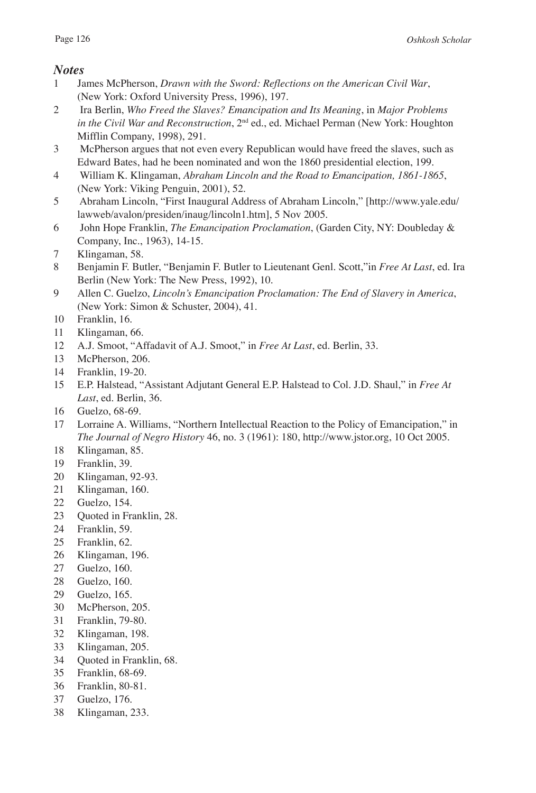# *Notes*

- 1 James McPherson, *Drawn with the Sword: Reflections on the American Civil War*, (New York: Oxford University Press, 1996), 197.
- 2 Ira Berlin, *Who Freed the Slaves? Emancipation and Its Meaning*, in *Major Problems in the Civil War and Reconstruction*, 2nd ed., ed. Michael Perman (New York: Houghton Mifflin Company, 1998), 291.
- 3 McPherson argues that not even every Republican would have freed the slaves, such as Edward Bates, had he been nominated and won the 1860 presidential election, 199.
- 4 William K. Klingaman, *Abraham Lincoln and the Road to Emancipation, 1861-1865*, (New York: Viking Penguin, 2001), 52.
- 5 Abraham Lincoln, "First Inaugural Address of Abraham Lincoln," [http://www.yale.edu/ lawweb/avalon/presiden/inaug/lincoln1.htm], 5 Nov 2005.
- 6 John Hope Franklin, *The Emancipation Proclamation*, (Garden City, NY: Doubleday & Company, Inc., 1963), 14-15.
- 7 Klingaman, 58.
- 8 Benjamin F. Butler, "Benjamin F. Butler to Lieutenant Genl. Scott,"in *Free At Last*, ed. Ira Berlin (New York: The New Press, 1992), 10.
- 9 Allen C. Guelzo, *Lincoln's Emancipation Proclamation: The End of Slavery in America*, (New York: Simon & Schuster, 2004), 41.
- 10 Franklin, 16.
- 11 Klingaman, 66.
- 12 A.J. Smoot, "Affadavit of A.J. Smoot," in *Free At Last*, ed. Berlin, 33.
- 13 McPherson, 206.
- 14 Franklin, 19-20.
- 15 E.P. Halstead, "Assistant Adjutant General E.P. Halstead to Col. J.D. Shaul," in *Free At Last*, ed. Berlin, 36.
- 16 Guelzo, 68-69.
- 17 Lorraine A. Williams, "Northern Intellectual Reaction to the Policy of Emancipation," in *The Journal of Negro History* 46, no. 3 (1961): 180, http://www.jstor.org, 10 Oct 2005.
- 18 Klingaman, 85.
- 19 Franklin, 39.
- 20 Klingaman, 92-93.
- 21 Klingaman, 160.
- 22 Guelzo, 154.
- 23 Quoted in Franklin, 28.
- 24 Franklin, 59.
- 25 Franklin, 62.
- 26 Klingaman, 196.
- 27 Guelzo, 160.
- 28 Guelzo, 160.
- 29 Guelzo, 165.
- 30 McPherson, 205.
- 31 Franklin, 79-80.
- 32 Klingaman, 198.
- 33 Klingaman, 205.
- 34 Quoted in Franklin, 68.
- 35 Franklin, 68-69.
- 36 Franklin, 80-81.
- 37 Guelzo, 176.
- 38 Klingaman, 233.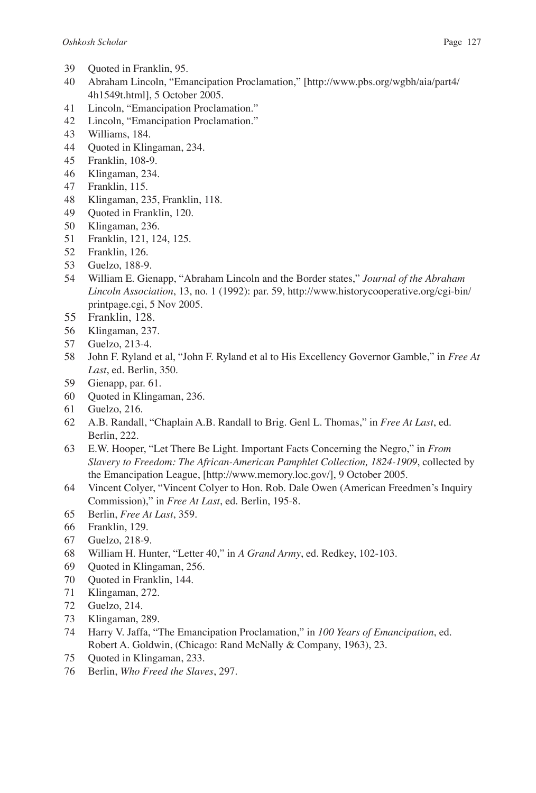- 39 Quoted in Franklin, 95.
- Abraham Lincoln, "Emancipation Proclamation," [http://www.pbs.org/wgbh/aia/part4/ 4h1549t.html], 5 October 2005.
- Lincoln, "Emancipation Proclamation."
- Lincoln, "Emancipation Proclamation."
- Williams, 184.
- Quoted in Klingaman, 234.
- Franklin, 108-9.
- Klingaman, 234.
- Franklin, 115.
- Klingaman, 235, Franklin, 118.
- 49 Quoted in Franklin, 120.
- Klingaman, 236.
- Franklin, 121, 124, 125.
- Franklin, 126.
- Guelzo, 188-9.
- William E. Gienapp, "Abraham Lincoln and the Border states," *Journal of the Abraham Lincoln Association*, 13, no. 1 (1992): par. 59, http://www.historycooperative.org/cgi-bin/ printpage.cgi, 5 Nov 2005.
- Franklin, 128.
- Klingaman, 237.
- Guelzo, 213-4.
- John F. Ryland et al, "John F. Ryland et al to His Excellency Governor Gamble," in *Free At Last*, ed. Berlin, 350.
- 59 Gienapp, par. 61.
- Quoted in Klingaman, 236.
- Guelzo, 216.
- A.B. Randall, "Chaplain A.B. Randall to Brig. Genl L. Thomas," in *Free At Last*, ed. Berlin, 222.
- E.W. Hooper, "Let There Be Light. Important Facts Concerning the Negro," in *From Slavery to Freedom: The African-American Pamphlet Collection, 1824-1909*, collected by the Emancipation League, [http://www.memory.loc.gov/], 9 October 2005.
- Vincent Colyer, "Vincent Colyer to Hon. Rob. Dale Owen (American Freedmen's Inquiry Commission)," in *Free At Last*, ed. Berlin, 195-8.
- Berlin, *Free At Last*, 359.
- Franklin, 129.
- Guelzo, 218-9.
- William H. Hunter, "Letter 40," in *A Grand Army*, ed. Redkey, 102-103.
- 69 Quoted in Klingaman, 256.
- Quoted in Franklin, 144.
- Klingaman, 272.
- Guelzo, 214.
- Klingaman, 289.
- Harry V. Jaffa, "The Emancipation Proclamation," in *100 Years of Emancipation*, ed. Robert A. Goldwin, (Chicago: Rand McNally & Company, 1963), 23.
- Quoted in Klingaman, 233.
- Berlin, *Who Freed the Slaves*, 297.